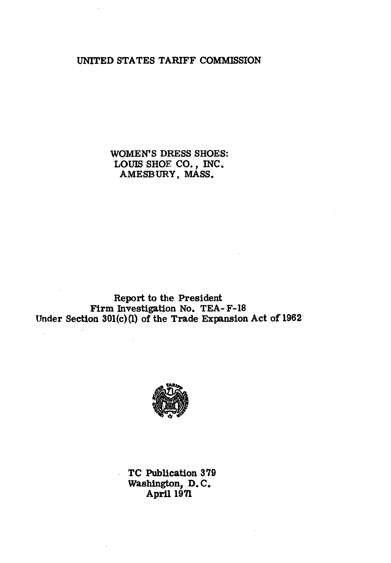# UNITED STATES TARIFF COMMISSION

 $\mathcal{L}_{\mathcal{A}}$ 

 $\mathcal{P}$ 

 $\mathcal{L}$ 

WOMEN'S DRESS SHOES: LOUIS SHOE CO., INC. AMESBURY, MÁSS.

Report to the President Firm Investigation No. TEA-F-18 Under Section 301(c)(l) of the Trade Expansion Act of 1962



TC Publication 3 79 Washington, D.C. April 1971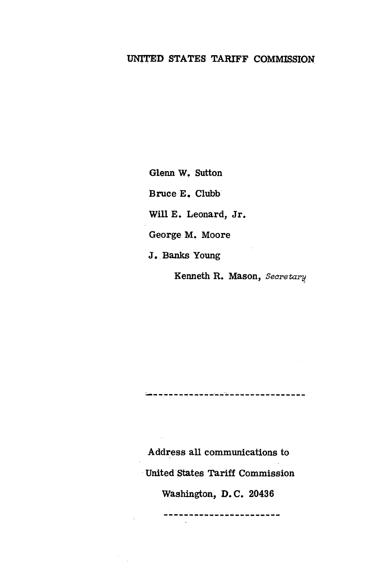# UNITED STATES TARIFF COMMISSION

Glenn W. Sutton

Bruce E. Clubb

Will E. Leonard, Jr.

George M. Moore

J. Banks Young

Kenneth R. Mason, Secretary

Address all communications to United States Tariff Commission Washington, D.C. 20436

 $\sim$ 

------------------

..................................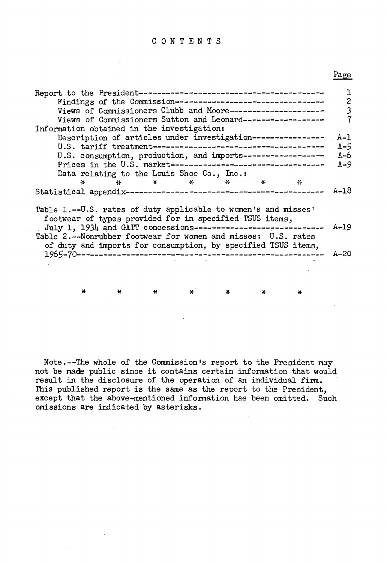#### CONTENTS

 $\mathbb{R}^2$ 

#### Page

|                                                                | 1        |
|----------------------------------------------------------------|----------|
| Findings of the Commission---------------------------------    | 2        |
| Views of Commissioners Clubb and Moore---------------------    | 3        |
| Views of Commissioners Sutton and Leonard-----------------     |          |
| Information obtained in the investigation:                     |          |
| Description of articles under investigation----------------    | A-1      |
|                                                                | $A-5$    |
| U.S. consumption, production, and imports-----------------     | - A–6    |
| Prices in the U.S. market-----------------------------------   | $A - 9$  |
| Data relating to the Louis Shoe Co., Inc.:                     |          |
| * * * * *<br>$\star$<br>∗                                      |          |
|                                                                |          |
|                                                                |          |
| Table 1.--U.S. rates of duty applicable to women's and misses' |          |
| footwear of types provided for in specified TSUS items,        |          |
| July 1, 1934 and GATT concessions----------------------------- | $A-19$   |
| Table 2.--Nonrubber footwear for women and misses: U.S. rates  |          |
| of duty and imports for consumption, by specified TSUS items,  |          |
|                                                                | $A - 20$ |
|                                                                |          |
|                                                                |          |
|                                                                |          |
|                                                                |          |

\* \* \* \* \* \* \*<br>.

Note.--The whole of the Commission's report to the President may note: The whole of the commission's report to the resident may not be made public since it contains certain information that would result in the disclosure of the operation of an individual firm. This published report is the same as the report to the President, except that the above-mentioned information has been omitted. Such omissions are indicated by asterisks.

 $\bar{a}$ 

 $\ddot{\phantom{a}}$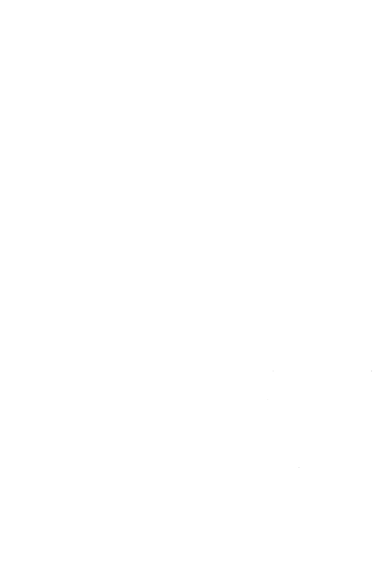$\mathcal{L}^{\text{max}}_{\text{max}}$ 

 $\label{eq:2.1} \frac{1}{\sqrt{2}}\int_{\mathbb{R}^3}\frac{1}{\sqrt{2}}\left(\frac{1}{\sqrt{2}}\right)^2\frac{1}{\sqrt{2}}\left(\frac{1}{\sqrt{2}}\right)^2\frac{1}{\sqrt{2}}\left(\frac{1}{\sqrt{2}}\right)^2\frac{1}{\sqrt{2}}\left(\frac{1}{\sqrt{2}}\right)^2.$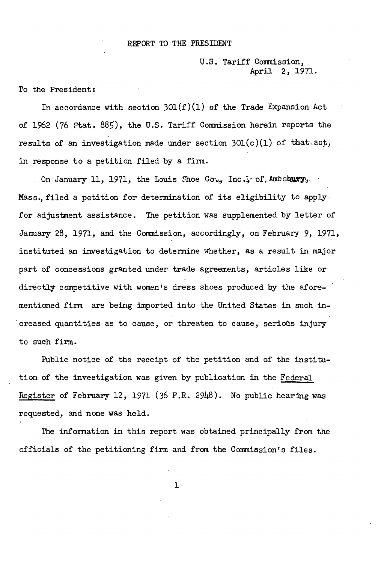#### REPORT TO THE PRESIDENT

U.S. Tariff Commission, April 2, 1971.

To the President:

In accordance with section  $301(f)(1)$  of the Trade Expansion Act of 1962 (76 ftat. 885), the U.S. Tariff Commission herein reports the results of an investigation made under section  $301(c)(1)$  of that act, in response to a petition filed by a firm.

On January 11, 1971, the Louis Shoe Co., Inc.  $r \circ f$ , Amesbury, Mass., filed a petition for determination of its eligibility to apply for adjustment assistance. The petition was supplemented by letter of Jarmary 28, 1971, and the Commission, accordingly, on February 9, 1971, instituted an investigation to determine whether, as a result in major part of concessions granted under trade agreements, articles like or directly competitive with women's dress shoes produced by the aforementioned firm are being imported into the United States in such increased quantities as to cause, or threaten to cause, serious injury to such firm.

Public notice of the receipt of the petition and of the institution of the investigation was given by publication in the Federal Register of February 12, 1971 (36 F.R. 2948). No public hearing was requested, and none was held.

The information in this report was obtained principally from the officials of the petitioning firm and from the Commission's files.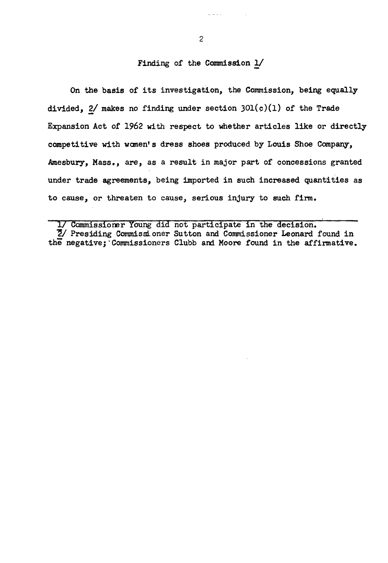### Finding of the Commission l/

On the basis of its investigation, the Commission, being equally divided,  $2/$  makes no finding under section  $301(c)(1)$  of the Trade Expansion Act of 1962 with respect to whether articles like or directly competitive with wanen's dress shoes produced by Louis Shoe Company, Amesbury, Mass., are, as a result in major part of concessions granted under trade agreements, being imported in such increased quantities as to cause, or threaten to cause, serious injury to such firm.

1/ Commissioner Young did not participate in the decision. °1}./ Presiding Commissioner Sutton and Commissioner Leonard found in the negative; Commissioners Clubb and Moore found in the affirmative.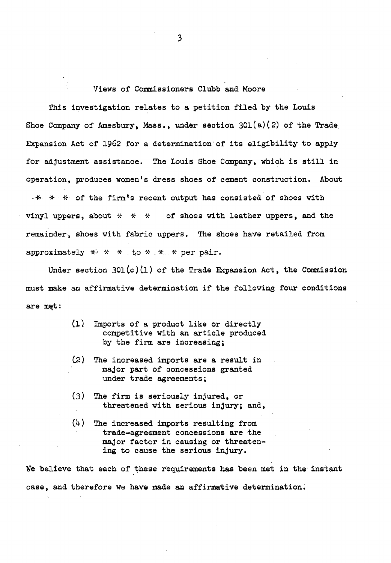#### Views of Commissioners Clubb and Moore

This investigation relates to a petition filed by the Louis Shoe Company of Amesbury, Mass., under section 30l(a)(2) of the Trade. Expansion Act of 1962 for a determination of its eligibility to apply for adjustment assistance. The Louis Shoe Company, which is still in operation, produces women's dress shoes of cement construction. About  $*$  \* \* of the firm's recent output has consisted of shoes with vinyl uppers, about  $* * *$  of shoes with leather uppers, and the remainder, shoes with fabric uppers. The shoes have retailed from approximately  $*$ ,  $*$  to  $*$ ,  $*$   $*$  per pair.

Under section  $301(c)(1)$  of the Trade Expansion Act, the Commission must make an affirmative determination if the following four conditions  $are met:$ 

- (l} Imports of a product like or directly competitive with an article produced by the firm are increasing;
- (2) The increased imports are a result in major part of concessions granted under trade agreements;
- (3) The firm is seriously injured, or threatened with serious injury; and,
- $(4)$  The increased imports resulting from trade-agreement concessions are the major factor in causing or threaten ing to cause the serious injury.

We believe that each of these requirements has been met in the instant case, and therefore we have made an affirmative determination.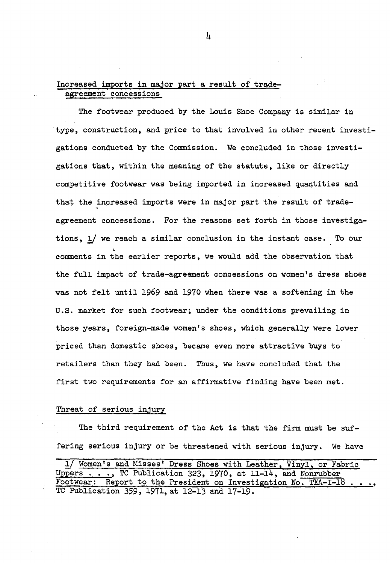#### Increased imports in maJor part a result of tradeagreement concessions

The footwear produced by the Louis Shoe Company is similar in type, construction, and price to that involved in other recent investigations conducted by the Commission. We concluded in those investigations that, within the meaning of the statute, like or directly competitive footwear was being imported in increased quantities and that the increased imports were in major part the result of tradeagreement concessions. For the reasons set forth in those investigations, 1/ we reach a similar conclusion in the instant case. To our comments in the earlier reports, we would add the observation that the full impact of trade-agreement concessions on women's dress shoes was not felt until 1969 and 1970 when there was a softening in the U.S. market for such footwear; under the conditions prevailing in those years, foreign-made women's shoes, which generally were lower priced than domestic shoes, became even more attractive buys to retailers than they had been. Thus, we have concluded that the first two requirements for an affirmative finding have been met.

#### Threat of serious injury

The third requirement of the Act is that the firm must be suffering serious injury or be threatened with serious injury. We have

 $\mathbf{h}$ 

<sup>1/</sup> Women's and Misses' Dress Shoes with Leather, Vinyl, or Fabric Uppers . . ., TC Publication 323, 1970, at 11-14, and Nonrubber Footwear: Report to the President on Investigation No. TEA-I-18 TC Publication 359, 1971,at 12-13 and 17-19.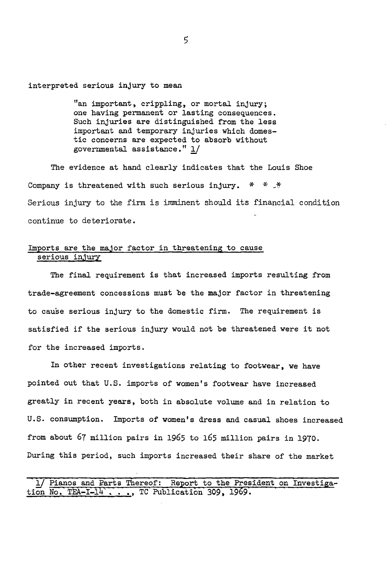interpreted serious injury to mean

"an important, crippling, or mortal injury; one having permanent or lasting consequences. Such injuries are distinguished from the less important and temporary injuries which domestic concerns are expected to absorb without governmental assistance." 1/

The evidence at hand clearly indicates that the Louis Shoe Company is threatened with such serious injury. \* \*  $*$ Serious injury to the firm is imminent should its financial condition continue to deteriorate.

#### Imports are the major factor in threatening to cause serious injury

The final requirement is that increased imports resulting from trade-agreement concessions must be the major factor in threatening to cause serious injury to the domestic firm. The requirement is satisfied if the serious injury would not be threatened were it not for the increased imports.

In other recent investigations relating to footwear, we have pointed out that U.S. imports of women's footwear have increased greatly in recent years, both in absolute volume and in relation to U.S. consumption. Imports of women's dress and casual shoes increased from about 67 million pairs in 1965 to 165 million pairs in 1970. During this period, such imports increased their share of the market

<sup>1/</sup> Pianos and Rarts Thereof: Report to the President on Investigation No. TEA-I-14  $\ldots$ , TC Publication 309, 1969.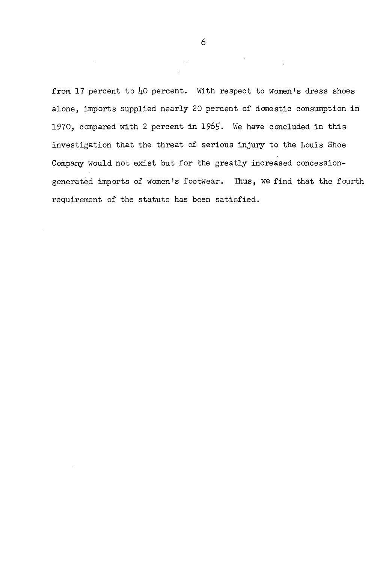from 17 percent to 40 percent. With respect to women's dress shoes alone, imports supplied nearly 20 percent of domestic consumption in 1970, compared with 2 percent in 1965. We have concluded in this investigation that the threat of serious injury to the Louis Shoe Company would not exist but for the greatly increased concessiongenerated imports of women's footwear. Thus, we find that the fourth requirement of the statute has been satisfied.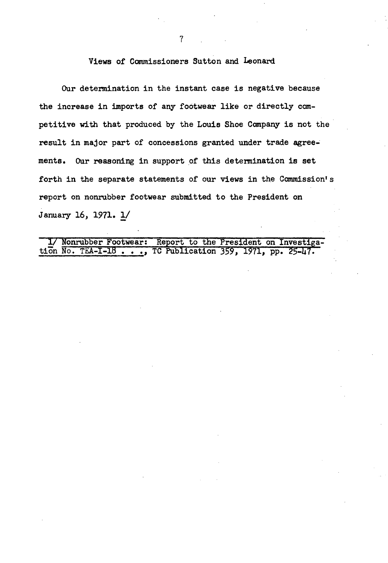## Views of Commissioners Sutton and Leonard

Our determination in the instant case is negative because the increase in imports of any footwear like or directly competitive with that produced by the Louis Shoe Company is not the result in major part of concessions granted under trade agreements. Our reasoning in support of this detennination is set forth in the separate statements of our views in the Commission's report on nonrubber footwear submitted to the President on January 16, 1971. 1/

1/ Nonrubber Footwear: Report to the President on Investiga-<br>tion No. TEA-I-18 . . ., TC Publication 359, 1971, pp. 25-47.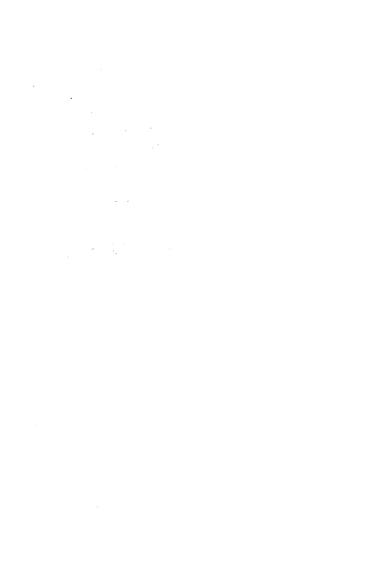$\label{eq:2.1} \frac{1}{\sqrt{2}}\left(\frac{1}{\sqrt{2}}\right)^{2} \left(\frac{1}{\sqrt{2}}\right)^{2} \left(\frac{1}{\sqrt{2}}\right)^{2} \left(\frac{1}{\sqrt{2}}\right)^{2} \left(\frac{1}{\sqrt{2}}\right)^{2} \left(\frac{1}{\sqrt{2}}\right)^{2} \left(\frac{1}{\sqrt{2}}\right)^{2} \left(\frac{1}{\sqrt{2}}\right)^{2} \left(\frac{1}{\sqrt{2}}\right)^{2} \left(\frac{1}{\sqrt{2}}\right)^{2} \left(\frac{1}{\sqrt{2}}\right)^{2} \left(\$ 

 $\mathcal{L}(\mathcal{A})$  and  $\mathcal{L}(\mathcal{A})$  $\label{eq:2.1} \frac{1}{\sqrt{2}}\int_{\mathbb{R}^3}\frac{1}{\sqrt{2}}\left(\frac{1}{\sqrt{2}}\right)^2\frac{1}{\sqrt{2}}\left(\frac{1}{\sqrt{2}}\right)^2\frac{1}{\sqrt{2}}\left(\frac{1}{\sqrt{2}}\right)^2\frac{1}{\sqrt{2}}\left(\frac{1}{\sqrt{2}}\right)^2.$  $\label{eq:2.1} \frac{1}{\sqrt{2}}\left(\frac{1}{\sqrt{2}}\right)^{2} \left(\frac{1}{\sqrt{2}}\right)^{2} \left(\frac{1}{\sqrt{2}}\right)^{2} \left(\frac{1}{\sqrt{2}}\right)^{2} \left(\frac{1}{\sqrt{2}}\right)^{2} \left(\frac{1}{\sqrt{2}}\right)^{2} \left(\frac{1}{\sqrt{2}}\right)^{2} \left(\frac{1}{\sqrt{2}}\right)^{2} \left(\frac{1}{\sqrt{2}}\right)^{2} \left(\frac{1}{\sqrt{2}}\right)^{2} \left(\frac{1}{\sqrt{2}}\right)^{2} \left(\$ 

 $\label{eq:2.1} \frac{1}{\sqrt{2\pi}}\int_{\mathbb{R}^3}\frac{1}{\sqrt{2\pi}}\int_{\mathbb{R}^3}\frac{1}{\sqrt{2\pi}}\int_{\mathbb{R}^3}\frac{1}{\sqrt{2\pi}}\int_{\mathbb{R}^3}\frac{1}{\sqrt{2\pi}}\int_{\mathbb{R}^3}\frac{1}{\sqrt{2\pi}}\int_{\mathbb{R}^3}\frac{1}{\sqrt{2\pi}}\int_{\mathbb{R}^3}\frac{1}{\sqrt{2\pi}}\int_{\mathbb{R}^3}\frac{1}{\sqrt{2\pi}}\int_{\mathbb{R}^3}\frac{1$  $\mathcal{L}^{\text{max}}_{\text{max}}$  , where  $\mathcal{L}^{\text{max}}_{\text{max}}$ 

 $\mathcal{L}^{\text{max}}_{\text{max}}$  , where  $\mathcal{L}^{\text{max}}_{\text{max}}$ 

 $\label{eq:2.1} \frac{1}{\sqrt{2}}\int_{\mathbb{R}^3}\frac{1}{\sqrt{2}}\left(\frac{1}{\sqrt{2}}\right)^2\frac{1}{\sqrt{2}}\left(\frac{1}{\sqrt{2}}\right)^2\frac{1}{\sqrt{2}}\left(\frac{1}{\sqrt{2}}\right)^2\frac{1}{\sqrt{2}}\left(\frac{1}{\sqrt{2}}\right)^2.$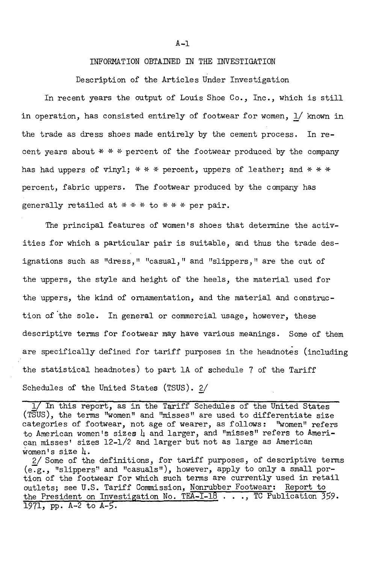#### INFORMATION OBTAINED IN THE INVESTIGATION

Description of the Articles Under Investigation

In recent years the output of Louis Shoe Co., Inc., which is still in operation, has consisted entirely of footwear for women,  $1/$  known in the trade as dress shoes made entirely by the cement process. In recent years about  $* * *$  percent of the footwear produced by the company has had uppers of vinyl;  $* * *$  percent, uppers of leather; and  $* * *$ percent, fabric uppers. The footwear produced by the company has generally retailed at  $* * *$  to  $* * *$  per pair.

The principal features of women's shoes that determine the activities for which a particular pair is suitable, and thus the trade designations such as "dress," "casual," and "slippers," are the cut of the uppers, the style and height of the heels, the material used for the uppers, the kind of ornamentation, and the material and construetion of the sole. In general or commercial usage, however, these descriptive terms for footwear may have various meanings. Some of them are specifically defined for tariff purposes in the headnotes (including the statistical headnotes) to part lA of schedule 7 of the Tariff Schedules of the United States (TSUS). 2/

1/ In this report, as in the Tariff Schedules of the United States (TSUS), the terms "women" and "misses" are used to differentiate size categories of footwear, not age of wearer, as follows: "women" refers to American women's sizes  $\mu$  and larger, and "misses" refers to American misses' sizes 12-1/2 and larger but not as large as American women's size  $\mu$ .

2/ Some of the definitions, for tariff purposes, of descriptive terms (e.g., "slippers" and "casuals"), however, apply to only a small portion of the footwear for which such terms are currently used in retail outlets; see U.S. Tariff Commission, Nonrubber Footwear: Report to the President on Investigation No. TEA-I-18 . . . , TC Publication 359. 1971, pp. A-2 to A-S.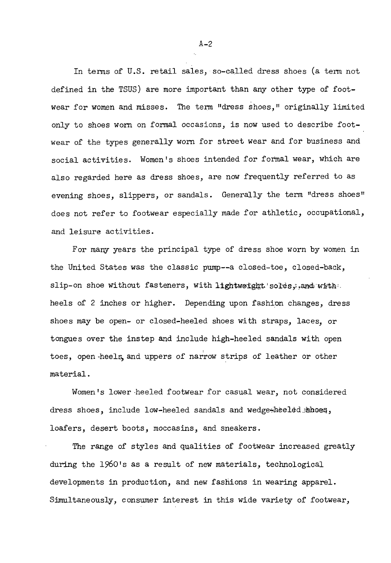In terms of U.S. retail sales, so-called dress shoes (a term not defined in the TSUS) are more important than any other type of footwear for women and misses. The term "dress shoes," originally limited only to shoes worn on formal occasions, is now used to describe footwear of the types generally worn for street wear and for business and social activities. Women's shoes intended for formal wear, which are also regarded here as dress shoes, are now frequently referred to as evening shoes, slippers, or sandals. Generally the term "dress shoes" does not refer to footwear especially made for athletic, occupational, and leisure activities.

For many years the principal type of dress shoe worn by women in the United States was the classic pump--a closed-toe, closed-back, slip-on shoe without fasteners, with lightweight soles; , and with. heels of 2 inches or higher. Depending upon fashion changes, dress shoes may be open- or closed-heeled shoes with straps, laces, or tongues over the instep and include high-heeled sandals with open toes, open heels, and uppers of narrow strips of leather or other material.

Women's lower heeled footwear for casual wear, not considered dress shoes, include low-heeled sandals and wedge-heeled shoes, loafers, desert boots, moccasins, and sneakers.

The range of styles and qualities of footwear increased greatly during the 1960's as a result of new materials, technological developments in production, and new fashions in wearing apparel. Simultaneously, consumer interest in this wide variety of footwear,

 $A-2$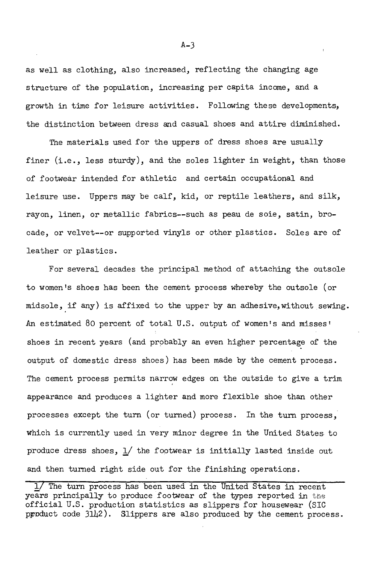as well as clothing, also increased, reflecting the changing age structure of the population, increasing per capita income, and a growth in time for leisure activities. Following these developments, the distinction between dress and casual shoes and attire diminished.

The materials used for the uppers of dress shoes are usually finer (i.e., less sturdy), and the soles lighter in weight, than those of footwear intended for athletic and certain occupational and leisure use. Uppers may be calf, kid, or reptile leathers, and silk, rayon, linen, or metallic fabrics--such as peau de soie, satin, brocade, or velvet--or supported vinyls or other plastics. Soles are of leather or plastics.

For several decades the principal method of attaching the outsole to women's shoes has been the cement process whereby the outsole (or midsole, if any) is affixed to the upper by an adhesive,without sewing. An estimated 80 percent of total U.S. output of women's and misses' shoes in recent years (and probably an even higher percentage of the output of domestic dress shoes) has been made by the cement process. The cement process permits narrow edges on the outside to give a trim appearance and produces a lighter and more flexible shoe than other processes except the turn (or turned) process. In the turn process, which is currently used in very minor degree in the United States to produce dress shoes, 1/ the footwear is initially lasted inside out and then turned right side out for the finishing operations.

 $A-3$ 

<sup>1/</sup> The turn process has been used in the United States in recent years principally to produce footwear of the types reported in the official U.S. production statistics as slippers for housewear (SIC ppnduct code 3142). Slippers are also produced by the cement process.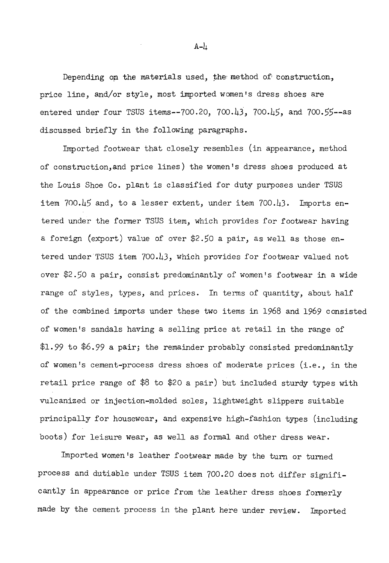Depending on the materials used, the method of construction, price line, and/or style, most imported women's dress shoes are entered under four TSUS items--700.20,  $700.43$ ,  $700.45$ , and  $700.55$ --as discussed briefly in the following paragraphs.

Imported footwear that closely resembles (in appearance, method of construction,and price lines) the women's dress shoes produced at the Louis Shoe Co. plant is classified for duty purposes under TSUS item 700.45 and, to a lesser extent, under item 700.43. Imports entered under the former TSUS item, which provides for footwear having a foreign (export) value of over \$2.50 a pair, as well as those entered under TSUS item 700.43, which provides for footwear valued not over \$2.50 a pair, consist predominantly of women's footwear in a wide range of styles, types, and prices. In terms of quantity, about half of the combined imports under these two items in 1968 and 1969 consisted of women's sandals having a selling price at retail in the range of \$1.99 to \$6.99 a pair; the remainder probably consisted predominantly of women's cement-process dress shoes of moderate prices (i.e., in the retail price range of \$8 to \$20 a pair) but included sturdy types with vulcanized or injection-molded soles, lightweight slippers suitable principally for housewear, and expensive high-fashion types (including boots) for leisure wear, as well as formal and other dress wear.

Imported women's leather footwear made by the turn or turned process and dutiable under TSUS item ?00.20 does not differ significantly in appearance or price from the leather dress shoes formerly made by the cement process in the plant here under review. Imported

 $A-L$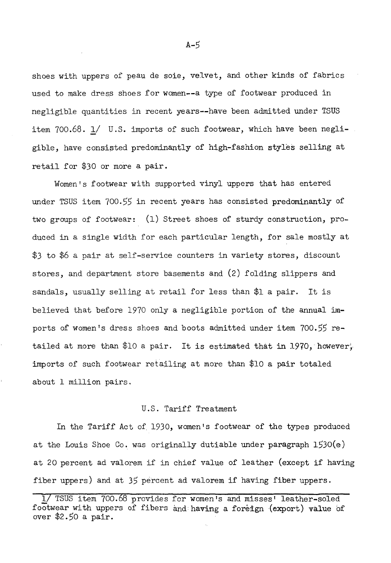shoes with uppers of peau de soie, velvet, and other kinds of fabrics used to make dress shoes for women--a type of footwear produced in negligible quantities in recent years--have been admitted under TSUS item 700.68. 1/ U.S. imports of such footwear, which have been negligible, have consisted predominantly of high-fashion styles selling at retail for \$30 or more a pair.

Women's footwear with supported vinyl uppers that has entered under TSUS item *700.55* in recent years has consisted predominantly of two groups of footwear: (1) Street shoes of sturdy construction, produced in a single width for each particular length, for sale mostly at \$3 to \$6 a pair at self-service counters in variety stores, discount stores, and department store basements and (2) folding slippers and sandals, usually selling at retail for less than \$1 a pair. It is believed that before 1970 only a negligible portion of the annual imports of women's dress shoes and boots admitted under item *700.55* retailed at more than \$10 a pair. It is estimated that in 1970, however. imports of such footwear retailing at more than \$10 a pair totaled about 1 million pairs.

## U.S. Tariff Treatment

In the Tariff Act of 1930, women's footwear of the types produced at the Louis Shoe Co. was originally dutiable under paragraph  $1530(e)$ at 20 percent ad valorem if in chief value of leather (except if having fiber uppers) and at *35* percent ad valorem if having fiber uppers.

 $A-5$ 

<sup>1/</sup> TSUS item 700.68 provides for women's and misses' leather-soled footwear with uppers of fibers and having a foreign (export) value bf over \$2.50 a pair.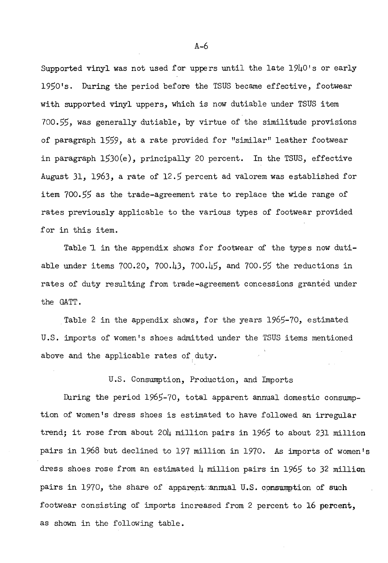Supported vinyl was not used for uppers until the late 1940's or early 1950's. During the period before the TSUS became effective, footwear with supported vinyl uppers, which is now dutiable under TSUS item 700.55, was generally dutiable, by virtue of the similitude provisions of paragraph 1559, at a rate provided for "similar" leather footwear in paragraph 1530(e), principally 20 percent. In the TSUS, effective August 31, 1963, a rate of 12.5 percent ad valorem was established for item *700.55* as the trade-agreement rate to replace the wide range of rates previously applicable to the various types of footwear provided for in this item.

Table 1 in the appendix shows for footwear of the types now dutiable under items 700.20, 700.43, 700.45, and 700.55 the reductions in rates of duty resulting from trade-agreement concessions granted under the GATT.

Table 2 in the appendix shows, for the years 1965-70, estimated U.S. imports of women's shoes admitted under the TSUS items mentioned above and the applicable rates of duty.

U.S. Consumption, Production, and Imports

During the period 1965-70, total apparent annual domestic consumption of women's dress shoes is estimated to have followed an irregular trend; it rose from about 204 million pairs in 1965 to about 231 million pairs in 1968 but declined to 197 million in 1970. As imports of women's dress shoes rose from an estimated  $\mu$  million pairs in 1965 to 32 million pairs in 1970, the share of apparent::anrual U.S. consumption of such footwear consisting of imports increased from 2 percent to 16 percent, as shown in the following table.

A-6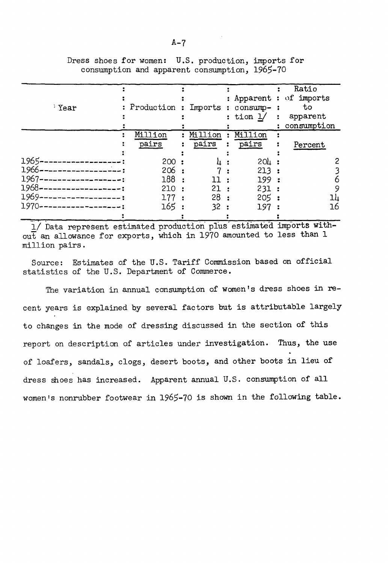| $\frac{1}{2}$ Year         | : Production : Imports : consump- : |                | : tion $1/$ | Ratio<br>: Apparent : of imports<br>to<br>apparent<br>consumption |
|----------------------------|-------------------------------------|----------------|-------------|-------------------------------------------------------------------|
|                            | Million                             | Million        | Million     |                                                                   |
|                            | pairs                               | pairs          | pairs       | Percent                                                           |
|                            |                                     |                |             |                                                                   |
| 1965 --                    | 200:                                |                | 204:        |                                                                   |
| $1966$ ---------           | 206:                                |                | 213:        |                                                                   |
| 1967------------------     | 188 :                               | 11             | 199:        |                                                                   |
| 1968 --                    | 210                                 | 21:<br>$\cdot$ | 231:        |                                                                   |
| 1969------------------     | 177                                 | 28:            | 205:        |                                                                   |
| 1970-<br>----------------- | 165:                                | 32:            | 197:        | 16                                                                |
|                            |                                     |                |             |                                                                   |

Dress shoes for women: U.S. production, imports for consumption and apparent consumption, 1965-70

1/ Data represent estimated production plus estimated imports without an allowance for exports, which in 1970 amounted to less than 1 million pairs.

Source: Estimates of the U.S. Tariff Commission based on official statistics of the U.S. Department of Commerce.

The variation in annual consumption of women's dress shoes in recent years is explained by several factors but is attributable largely to changes in the mode of dressing discussed in the section of this report on description of articles under investigation. Thus, the use of loafers, sandals, clogs, desert boots, and other boots in lieu of dress shoes has increased. Apparent annual U.S. consumption of all women's nonrubber footwear in 1965-70 is shown in the following table.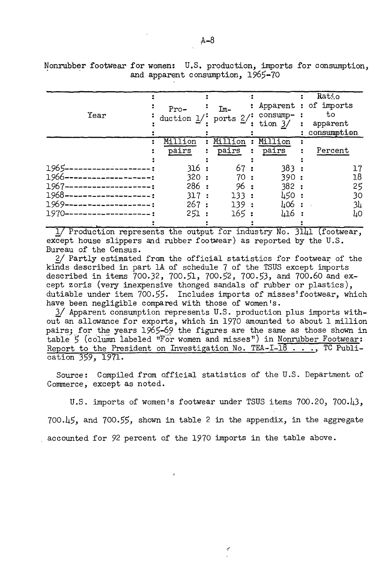Nonrubber footwear for women: U.S. production, imports for consumption, and apparent consumption, 1965-70

| Year       | $Pro-$<br>duction $1/$ <sup>:</sup> | $Im-$<br>ports $2/$                      | consump-<br>: tion $3/$ | Ratio<br>: Apparent : of imports<br>to<br>apparent<br>1<br>consumption |
|------------|-------------------------------------|------------------------------------------|-------------------------|------------------------------------------------------------------------|
|            | Million<br>pairs                    | Million<br>pairs<br>$\ddot{\phantom{a}}$ | Million<br>pairs        | Percent                                                                |
|            |                                     |                                          |                         |                                                                        |
| 1965-      | 316:                                | 67:                                      | 383:                    | 17                                                                     |
| $1966 - -$ | 320:                                | 70:                                      | 390 :                   | 18                                                                     |
| $1967 -$   | 286:                                | 96:                                      | 382:                    | 25                                                                     |
| 1968-      | 317:                                | 133:                                     | 450 :                   | 30                                                                     |
| 1969-      | 267:                                | 139:                                     | 406 :                   | 34                                                                     |
| $1970 -$   | 251:                                | 165:                                     | 416 :                   | 40                                                                     |
|            |                                     |                                          |                         |                                                                        |

1/ Production represents the output for industry No. 3141 (footwear, except house slippers and rubber footwear) as reported by the U.S. Bureau of the Census.

2/ Partly estimated from the official statistics for footwear of the kinds described in part 1A of schedule 7 of the TSUS except imports described in items 700.32, 700.51, 700.52, 700.53, and 700.60 and except zoris (very inexpensive thonged sandals of rubber or plastics), dutiable under item 700.55. Includes imports of misses'footwear, which have been negligible compared with those of women's.

3/ Apparent consumption represents U.S. production plus imports without an allowance for exports, which in 1970 amounted to about 1 million pairs; for the years 1965-69 the figures are the same as those shown in table 5 (column labeled "For women and misses") in Nonrubber Footwear: Report to the President on Investigation No. TEA-I-18 . . ., TC Publication 359, 1971.

Source: Compiled from official statistics of the U.S. Department of Commerce, except as noted.

U.S. imports of women's footwear under TSUS items 700.20, 700.43,

Î,

700.45, and 700.55, shown in table 2 in the appendix, in the aggregate

accounted for 92 percent of the 1970 imports in the table above.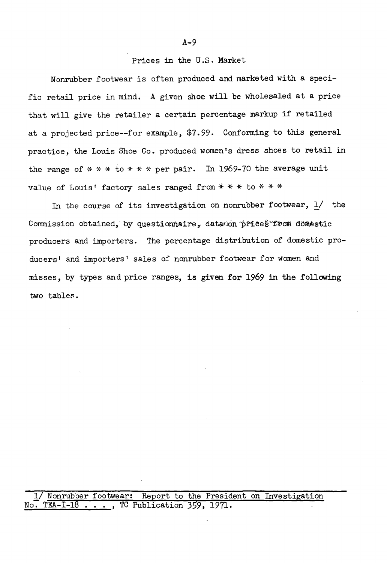#### Prices in the U.S. Market

Nonrubber footwear is often produced and marketed with a specifie retail price in mind. A given shoe will be wholesaled at a price that will give the retailer a certain percentage markup if retailed at a projected price--for example, \$7.99. Conforming to this general practice, the Louis Shoe Co. produced women's dress shoes to retail in the range of  $* * *$  to  $* * *$  per pair. In 1969-70 the average unit value of Louis' factory sales ranged from  $* * *$  to  $* * *$ 

In the course of its investigation on nonrubber footwear,  $1/$  the Commission obtained, by questionnaire, datenon prices from domestic producers and importers. The percentage distribution of domestic producers' and importers' sales of nonrubber footwear for women and misses, by types and price ranges, is given **for** 1969 in the following two tables.

1/ Nonrubber footwear: Report to the President on Investigation No. TEA-I-18 • • . , TC Publication *359,* 1971.

#### A-9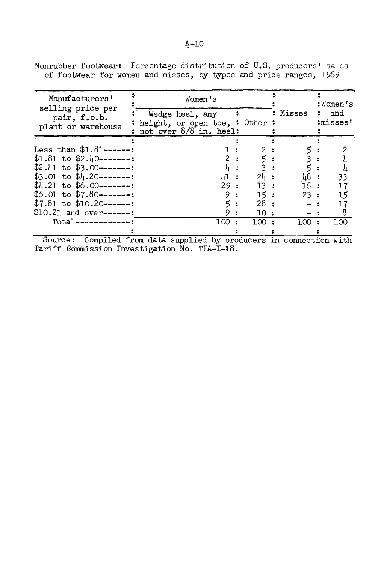Nonrubber footwear: Percentage distribution of U.S. producers' sales of footwear for women and misses, by types 'and price ranges, 1969

| Manufacturers'<br>selling price per<br>pair, f.o.b.                                                                                     | Women's<br>Wedge heel, any                                 | : Misses                    | :Women's<br>$:$ and<br>:misses' |                      |
|-----------------------------------------------------------------------------------------------------------------------------------------|------------------------------------------------------------|-----------------------------|---------------------------------|----------------------|
| plant or warehouse                                                                                                                      | height, or open toe, : Other :<br>: not over 8/8 in. heel: |                             |                                 |                      |
| Less than \$1.81------:<br>$$1.81$ to $$2.40-----$ :<br>$$2.41$ to $$3.00-----$<br>$$3.01$ to $$4.20-----$ :<br>$$4.21$ to $$6.00-----$ | 2<br>ħΙ<br>29 :                                            | 2<br>$2\mu$ :<br>13:        | և8<br>16:                       | 33<br>17             |
| $$6.01$ to $$7.80-----$ :<br>$$7.81$ to $$10.20----$ :<br>$$10.21$ and over------:<br>$Total-----$                                      | 9.<br>9 :<br>100:                                          | 15 :<br>28 :<br>10:<br>100: | 23:<br>100:                     | 15<br>17<br>8<br>100 |

Source: Compiled from data supplied by producers in connection with Tariff Commission Investigation No. TEA-I-18.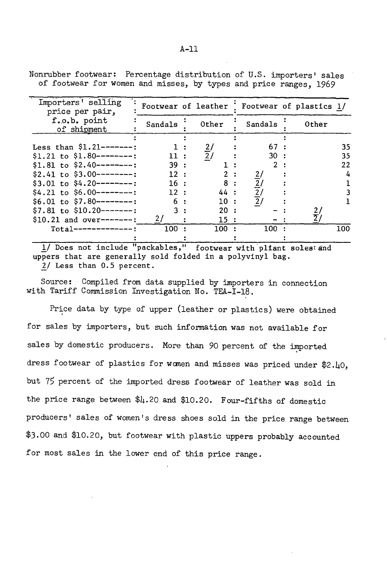Nonrubber footwear: Percentage distribution of U.S. importers' sales of footwear for women and misses, by types and price ranges. 1969

| Importers' selling<br>price per pair, |                  |  | Footwear of leather |  |                  |    | Footwear of plastics 1/ |     |
|---------------------------------------|------------------|--|---------------------|--|------------------|----|-------------------------|-----|
| f.o.b. point<br>of shipment           | Other<br>Sandals |  | Sandals             |  | Other            |    |                         |     |
|                                       |                  |  |                     |  |                  |    |                         |     |
| Less than $$1.21------:$              |                  |  | 2/                  |  | 67 :             |    |                         | 35  |
| $$1.21$ to $$1.80$ --------:          | 11:              |  | $\overline{2}$ /    |  | 30:              |    |                         | 35  |
| $$1.81$ to $$2.40------$ :            | 39:              |  |                     |  |                  | 2: |                         | 22  |
| $$2.41$ to $$3.00------:$             | 12:              |  | 2:                  |  | $\overline{2}$ / |    |                         |     |
| $$3.01$ to $$4.20$ --------:          | 16 :             |  | 8:                  |  | $\overline{2}$   |    |                         |     |
| $$4.21$ to $$6.00------:$             | 12:              |  | 44 :                |  | $\overline{2}$ / |    |                         |     |
| $$6.01$ to $$7.80------$ :            | 6:               |  | 10:                 |  | $\overline{2}$ / |    |                         |     |
| $$7.81$ to $$10.20-----$ :            | 3,               |  | 20:                 |  |                  |    |                         |     |
| $$10.21$ and over-------:             | 21               |  | 15:                 |  |                  |    |                         |     |
| $Total-----$                          | $100-$           |  | 100:                |  | 100 -            |    |                         | 100 |
|                                       |                  |  |                     |  |                  |    |                         |     |

1/ Does not include "packables," footwear with pliant soles and uppers that are generally sold folded in a polyvinyl bag. 2/ Less than 0.5 percent.

Source: Compiled from data supplied by importers in connection with Tariff Commission Investigation No. TEA-I-18.

Price data by type of upper (leather or plastics) were obtained for sales by importers, but such information was not available for sales by domestic producers. More than 90 percent of the imported dress footwear of plastics for women and misses was priced under \$2.40, but 75 percent of the imported dress footwear of leather was sold in the price range between \$4.20 and \$10.20. Four-fifths of domestic producers' sales of women's dress shoes sold in the price range between \$3.00 and \$10.20, but footwear with plastic uppers probably accounted for most sales in the lower end of this price range.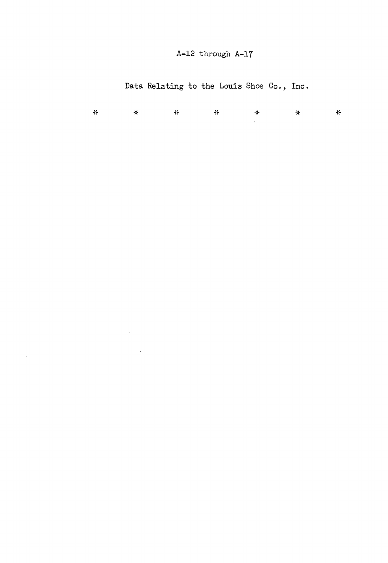# A-12 through A-17

| Data Relating to the Louis Shoe Co., Inc. |  |  |  |
|-------------------------------------------|--|--|--|

| $\pmb{\times}$            | $\sim 20$<br>$\ast$ | $\mathbb X$ | $\,$ $\,$ | $\ast$<br>$\mathcal{L}^{\pm}$ | $\ast$ | $\star$ |
|---------------------------|---------------------|-------------|-----------|-------------------------------|--------|---------|
|                           |                     |             |           |                               |        |         |
|                           |                     |             |           |                               |        |         |
|                           |                     |             |           |                               |        |         |
|                           |                     |             |           |                               |        |         |
|                           |                     |             |           |                               |        |         |
|                           |                     |             |           |                               |        |         |
|                           |                     |             |           |                               |        |         |
|                           |                     |             |           |                               |        |         |
|                           |                     |             |           |                               |        |         |
|                           |                     |             |           |                               |        |         |
|                           |                     |             |           |                               |        |         |
| $\sim 10^{11}$ km $^{-1}$ |                     |             |           |                               |        |         |
|                           |                     |             |           |                               |        |         |
|                           |                     |             |           |                               |        |         |
|                           |                     |             |           |                               |        |         |
|                           |                     |             |           |                               |        |         |
|                           |                     |             |           |                               |        |         |

 $\mathcal{L}(\mathcal{L}^{\text{max}})$  .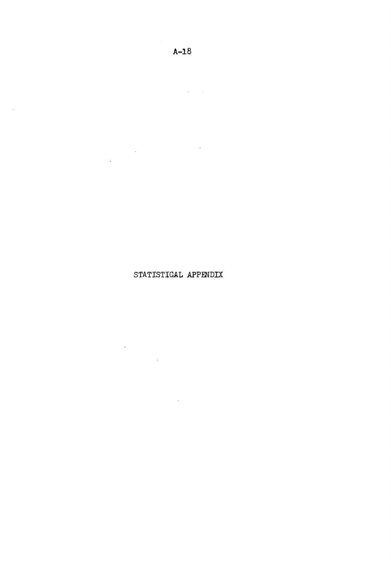# STATISTlGAL APPENDIX

 $\sim$ 

 $\label{eq:2.1} \frac{1}{\sqrt{2\pi}}\int_{\mathbb{R}^3}\frac{1}{\sqrt{2\pi}}\int_{\mathbb{R}^3}\frac{1}{\sqrt{2\pi}}\int_{\mathbb{R}^3}\frac{1}{\sqrt{2\pi}}\int_{\mathbb{R}^3}\frac{1}{\sqrt{2\pi}}\frac{1}{\sqrt{2\pi}}\frac{1}{\sqrt{2\pi}}\frac{1}{\sqrt{2\pi}}\frac{1}{\sqrt{2\pi}}\frac{1}{\sqrt{2\pi}}\frac{1}{\sqrt{2\pi}}\frac{1}{\sqrt{2\pi}}\frac{1}{\sqrt{2\pi}}\frac{1}{\sqrt{2\pi$ 

 $\bar{\mathcal{A}}$ 

 $\sim 10$ 

 $\bar{z}$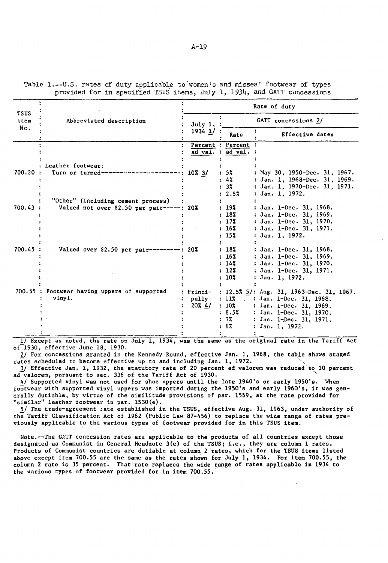| <b>TSUS</b> |                                                                               | Rate of duty                  |                                                |                                                                                                                                                                            |  |  |
|-------------|-------------------------------------------------------------------------------|-------------------------------|------------------------------------------------|----------------------------------------------------------------------------------------------------------------------------------------------------------------------------|--|--|
| item        | Abbreviated description                                                       | July 1,                       | GATT concessions 2/                            |                                                                                                                                                                            |  |  |
| No.         |                                                                               | 1934 1/                       | Rate                                           | Effective dates                                                                                                                                                            |  |  |
|             |                                                                               | ad val.                       | Percent : Percent :<br>: ad val.               |                                                                                                                                                                            |  |  |
| 700.20:     | Leather footwear:<br>Turn or turned----<br>"Other" (including cement process) | $10\%$ 3/                     | : 5%<br>4%<br>$3\%$<br>: 2.5%                  | : May 30, 1950-Dec. 31, 1967.<br>: Jan. 1, 1968-Dec. 31, 1969.<br>: Jan. 1, 1970-Dec. 31, 1971.<br>: Jan. 1, 1972.                                                         |  |  |
| 700.43:     | Valued not over \$2.50 per pair-----: 20%                                     |                               | 19%<br>: 18%<br>: 17%<br>: 16%<br>: 15%        | : Jan. 1-Dec. 31, 1968.<br>: Jan. 1-Dec. 31, 1969.<br>: Jan. 1-Dec. 31, 1970.<br>: Jan. 1-Dec. 31, 1971.<br>: Jan. 1, 1972.                                                |  |  |
| 700.45:     | Valued over $$2.50$ per pair-------                                           | 20%                           | : 18%<br>: 16%<br>: 14%<br>: 12%<br>10%        | : Jan. 1-Dec. 31, 1968.<br>: Jan. 1-Dec. 31, 1969.<br>: Jan. 1-Dec. 31, 1970.<br>: Jan. 1-Dec. 31, 1971.<br>: Jan. 1, 1972 <i>.</i>                                        |  |  |
|             | 700.55 : Footwear having uppers of supported<br>vinyl.                        | Princi-<br>pally<br>$20\%$ 4/ | $: 11\%$<br>$: 10\%$<br>: 8.5%<br>: 7%<br>: 6% | : 12.5% $5/$ : Aug. 31, 1963-Dec. 31, 1967.<br>: Jan. 1-Dec. 31, 1968.<br>: Jan. 1-Dec. 31, 1969.<br>: Jan. 1-Dec. 31, 1970.<br>: Jan. 1-Dec. 31, 1971.<br>: Jan. 1, 1972. |  |  |

Table 1.--U.S. rates of duty applicable to women's and misses' footwear of types provided for in specified TSUS items, July 1, 1934, and GATT concessions

1/ Except as noted, the rate on July 1, 1934, was the same as the original rate in the Tariff Act of-1930, effective June 18, 1930.

2/ For concessions granted in the Kennedy Round, effective Jan. 1, 1968, the table shows staged rates scheduled to become effective up to and including Jan. 1, 1972.

3/ Effective Jan. 1, 1932, the statutory rate of 20 percent ad valorem wae reduced'to 10 percent ad valorem, pursuant to sec. 336 of the Tariff Act of 1930.

 $4/$  Supported vinyl was not used for shoe uppers until the late 1940's or early 1950's. When footwear with supported vinyl uppers was imported during the 1950's and early 1960's, it was generally dutiable, by virtue of the similitude provisions of par. 1559, at the rate provided for "similar" leather footwear in par. 1530(e).

5/ The trade-agreement rate established in the TSUS, effective Aug. 31, 1963, under authority of the Tariff Classification Act of 1962 (Public Law 87-456) to replace the wide range of rates previously applicable to the various types of footwear provided for in this TSUS item.

Note.--The GATT concession rates are applicable to the products of all countries except those designated as Communist in General Headnote 3(e) of the TSUS; i.e., they are column 1 rates. Products of Communist countries are dutiable at column 2 rates, which for the TSUS items listed above except item 700.55 are the same as the rates shown for July 1, 1934. For item 700.55, the column 2 rate is 35 percent. That rate replaces the wide range of rates applicable in 1934 to the various types of footwear provided for in item 700.55.